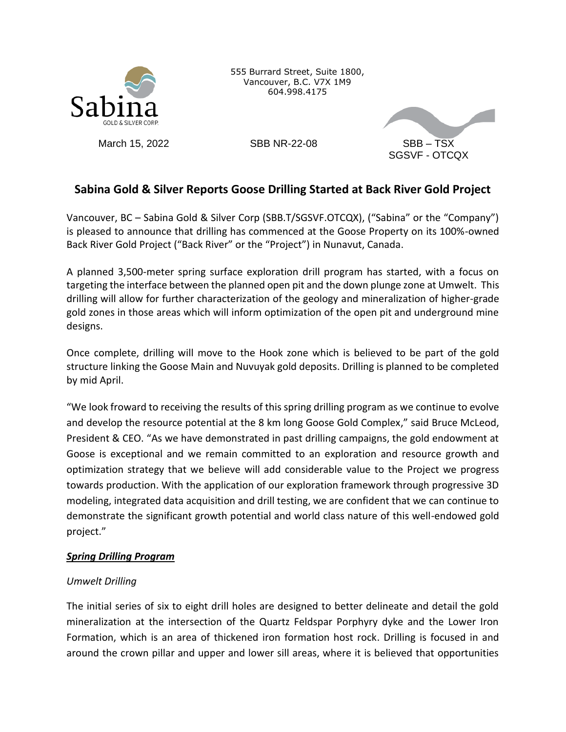

555 Burrard Street, Suite 1800, Vancouver, B.C. V7X 1M9 604.998.4175



# **Sabina Gold & Silver Reports Goose Drilling Started at Back River Gold Project**

Vancouver, BC – Sabina Gold & Silver Corp (SBB.T/SGSVF.OTCQX), ("Sabina" or the "Company") is pleased to announce that drilling has commenced at the Goose Property on its 100%-owned Back River Gold Project ("Back River" or the "Project") in Nunavut, Canada.

A planned 3,500-meter spring surface exploration drill program has started, with a focus on targeting the interface between the planned open pit and the down plunge zone at Umwelt. This drilling will allow for further characterization of the geology and mineralization of higher-grade gold zones in those areas which will inform optimization of the open pit and underground mine designs.

Once complete, drilling will move to the Hook zone which is believed to be part of the gold structure linking the Goose Main and Nuvuyak gold deposits. Drilling is planned to be completed by mid April.

"We look froward to receiving the results of this spring drilling program as we continue to evolve and develop the resource potential at the 8 km long Goose Gold Complex," said Bruce McLeod, President & CEO. "As we have demonstrated in past drilling campaigns, the gold endowment at Goose is exceptional and we remain committed to an exploration and resource growth and optimization strategy that we believe will add considerable value to the Project we progress towards production. With the application of our exploration framework through progressive 3D modeling, integrated data acquisition and drill testing, we are confident that we can continue to demonstrate the significant growth potential and world class nature of this well-endowed gold project."

#### *Spring Drilling Program*

## *Umwelt Drilling*

The initial series of six to eight drill holes are designed to better delineate and detail the gold mineralization at the intersection of the Quartz Feldspar Porphyry dyke and the Lower Iron Formation, which is an area of thickened iron formation host rock. Drilling is focused in and around the crown pillar and upper and lower sill areas, where it is believed that opportunities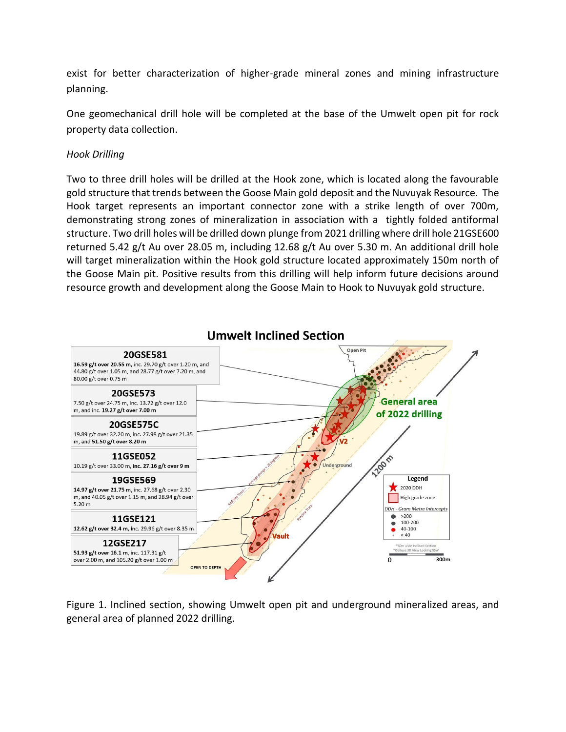exist for better characterization of higher-grade mineral zones and mining infrastructure planning.

One geomechanical drill hole will be completed at the base of the Umwelt open pit for rock property data collection.

### *Hook Drilling*

Two to three drill holes will be drilled at the Hook zone, which is located along the favourable gold structure that trends between the Goose Main gold deposit and the Nuvuyak Resource. The Hook target represents an important connector zone with a strike length of over 700m, demonstrating strong zones of mineralization in association with a tightly folded antiformal structure. Two drill holes will be drilled down plunge from 2021 drilling where drill hole 21GSE600 returned 5.42 g/t Au over 28.05 m, including 12.68 g/t Au over 5.30 m. An additional drill hole will target mineralization within the Hook gold structure located approximately 150m north of the Goose Main pit. Positive results from this drilling will help inform future decisions around resource growth and development along the Goose Main to Hook to Nuvuyak gold structure.



Figure 1. Inclined section, showing Umwelt open pit and underground mineralized areas, and general area of planned 2022 drilling.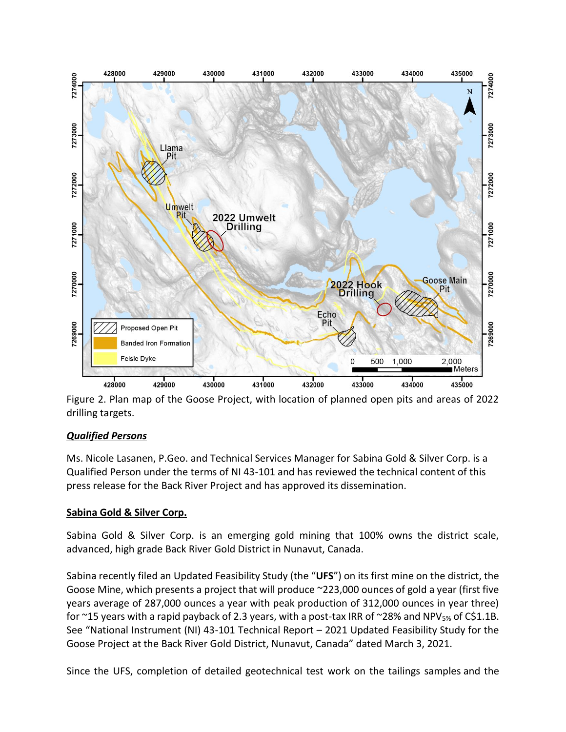

Figure 2. Plan map of the Goose Project, with location of planned open pits and areas of 2022 drilling targets.

## *Qualified Persons*

Ms. Nicole Lasanen, P.Geo. and Technical Services Manager for Sabina Gold & Silver Corp. is a Qualified Person under the terms of NI 43-101 and has reviewed the technical content of this press release for the Back River Project and has approved its dissemination.

## **Sabina Gold & Silver Corp.**

Sabina Gold & Silver Corp. is an emerging gold mining that 100% owns the district scale, advanced, high grade Back River Gold District in Nunavut, Canada.

Sabina recently filed an Updated Feasibility Study (the "**UFS**") on its first mine on the district, the Goose Mine, which presents a project that will produce ~223,000 ounces of gold a year (first five years average of 287,000 ounces a year with peak production of 312,000 ounces in year three) for  $\sim$ 15 years with a rapid payback of 2.3 years, with a post-tax IRR of  $\sim$ 28% and NPV<sub>5%</sub> of C\$1.1B. See "National Instrument (NI) 43-101 Technical Report – 2021 Updated Feasibility Study for the Goose Project at the Back River Gold District, Nunavut, Canada" dated March 3, 2021.

Since the UFS, completion of detailed geotechnical test work on the tailings samples and the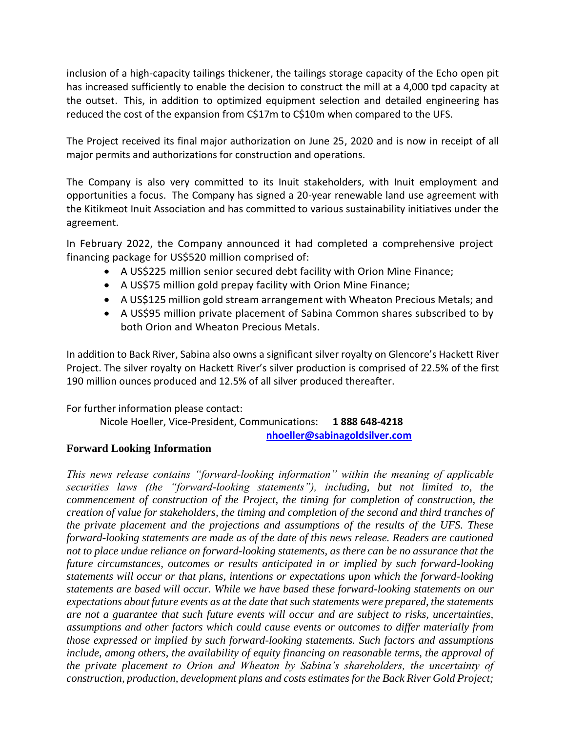inclusion of a high-capacity tailings thickener, the tailings storage capacity of the Echo open pit has increased sufficiently to enable the decision to construct the mill at a 4,000 tpd capacity at the outset. This, in addition to optimized equipment selection and detailed engineering has reduced the cost of the expansion from C\$17m to C\$10m when compared to the UFS.

The Project received its final major authorization on June 25, 2020 and is now in receipt of all major permits and authorizations for construction and operations.

The Company is also very committed to its Inuit stakeholders, with Inuit employment and opportunities a focus. The Company has signed a 20-year renewable land use agreement with the Kitikmeot Inuit Association and has committed to various sustainability initiatives under the agreement.

In February 2022, the Company announced it had completed a comprehensive project financing package for US\$520 million comprised of:

- A US\$225 million senior secured debt facility with Orion Mine Finance;
- A US\$75 million gold prepay facility with Orion Mine Finance;
- A US\$125 million gold stream arrangement with Wheaton Precious Metals; and
- A US\$95 million private placement of Sabina Common shares subscribed to by both Orion and Wheaton Precious Metals.

In addition to Back River, Sabina also owns a significant silver royalty on Glencore's Hackett River Project. The silver royalty on Hackett River's silver production is comprised of 22.5% of the first 190 million ounces produced and 12.5% of all silver produced thereafter.

For further information please contact:

Nicole Hoeller, Vice-President, Communications: **1 888 648-4218** 

**[nhoeller@sabinagoldsilver.com](mailto:nhoeller@sabinagoldsilver.com)**

## **Forward Looking Information**

*This news release contains "forward-looking information" within the meaning of applicable securities laws (the "forward-looking statements"), including, but not limited to, the commencement of construction of the Project, the timing for completion of construction, the creation of value for stakeholders, the timing and completion of the second and third tranches of the private placement and the projections and assumptions of the results of the UFS. These forward-looking statements are made as of the date of this news release. Readers are cautioned not to place undue reliance on forward-looking statements, as there can be no assurance that the future circumstances, outcomes or results anticipated in or implied by such forward-looking statements will occur or that plans, intentions or expectations upon which the forward-looking statements are based will occur. While we have based these forward-looking statements on our expectations about future events as at the date that such statements were prepared, the statements are not a guarantee that such future events will occur and are subject to risks, uncertainties, assumptions and other factors which could cause events or outcomes to differ materially from those expressed or implied by such forward-looking statements. Such factors and assumptions include, among others, the availability of equity financing on reasonable terms, the approval of the private placement to Orion and Wheaton by Sabina's shareholders, the uncertainty of construction, production, development plans and costs estimates for the Back River Gold Project;*